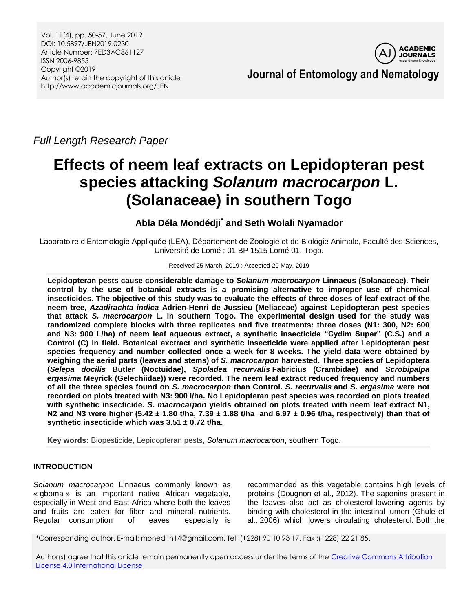Vol. 11(4), pp. 50-57, June 2019 DOI: 10.5897/JEN2019.0230 Article Number: 7ED3AC861127 ISSN 2006-9855 Copyright ©2019 Author(s) retain the copyright of this article http://www.academicjournals.org/JEN



**Journal of Entomology and Nematology**

*Full Length Research Paper*

# **Effects of neem leaf extracts on Lepidopteran pest species attacking** *Solanum macrocarpon* **L. (Solanaceae) in southern Togo**

# **Abla Déla Mondédji\* and Seth Wolali Nyamador**

Laboratoire d'Entomologie Appliquée (LEA), Département de Zoologie et de Biologie Animale, Faculté des Sciences, Université de Lomé ; 01 BP 1515 Lomé 01, Togo.

## Received 25 March, 2019 ; Accepted 20 May, 2019

**Lepidopteran pests cause considerable damage to** *Solanum macrocarpon* **Linnaeus (Solanaceae). Their control by the use of botanical extracts is a promising alternative to improper use of chemical insecticides. The objective of this study was to evaluate the effects of three doses of leaf extract of the neem tree,** *Azadirachta indica* **Adrien-Henri de Jussieu (Meliaceae) against Lepidopteran pest species that attack** *S. macrocarpon* **L. in southern Togo. The experimental design used for the study was randomized complete blocks with three replicates and five treatments: three doses (N1: 300, N2: 600 and N3: 900 L/ha) of neem leaf aqueous extract, a synthetic insecticide "Cydim Super" (C.S.) and a Control (C) in field. Botanical exctract and synthetic insecticide were applied after Lepidopteran pest species frequency and number collected once a week for 8 weeks. The yield data were obtained by weighing the aerial parts (leaves and stems) of** *S. macrocarpon* **harvested. Three species of Lepidoptera (***Selepa docilis* **Butler (Noctuidae),** *Spoladea recurvalis* **Fabricius (Crambidae) and** *Scrobipalpa ergasima* **Meyrick (Gelechiidae)) were recorded. The neem leaf extract reduced frequency and numbers of all the three species found on** *S. macrocarpon* **than Control.** *S. recurvalis* **and** *S. ergasima* **were not recorded on plots treated with N3: 900 l/ha. No Lepidopteran pest species was recorded on plots treated with synthetic insecticide.** *S. macrocarpon* **yields obtained on plots treated with neem leaf extract N1, N2 and N3 were higher (5.42 ± 1.80 t/ha, 7.39 ± 1.88 t/ha and 6.97 ± 0.96 t/ha, respectively) than that of synthetic insecticide which was 3.51 ± 0.72 t/ha.**

**Key words:** Biopesticide, Lepidopteran pests, *Solanum macrocarpon*, southern Togo.

# **INTRODUCTION**

*Solanum macrocarpon* Linnaeus commonly known as « gboma » is an important native African vegetable, especially in West and East Africa where both the leaves and fruits are eaten for fiber and mineral nutrients. Regular consumption of leaves especially is

recommended as this vegetable contains high levels of proteins (Dougnon et al., 2012). The saponins present in the leaves also act as cholesterol-lowering agents by binding with cholesterol in the intestinal lumen (Ghule et al., 2006) which lowers circulating cholesterol. Both the

\*Corresponding author. E-mail: monedith14@gmail.com. Tel :(+228) 90 10 93 17, Fax :(+228) 22 21 85.

Author(s) agree that this article remain permanently open access under the terms of th[e Creative Commons Attribution](http://creativecommons.org/licenses/by/4.0/deed.en_US)  [License 4.0 International License](http://creativecommons.org/licenses/by/4.0/deed.en_US)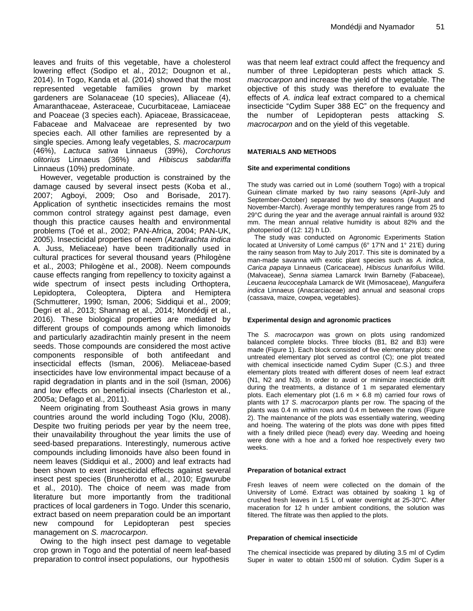leaves and fruits of this vegetable, have a cholesterol lowering effect (Sodipo et al., 2012; Dougnon et al., 2014). In Togo, Kanda et al. (2014) showed that the most represented vegetable families grown by market gardeners are Solanaceae (10 species), Alliaceae (4), Amaranthaceae, Asteraceae, Cucurbitaceae, Lamiaceae and Poaceae (3 species each). Apiaceae, Brassicaceae, Fabaceae and Malvaceae are represented by two species each. All other families are represented by a single species. Among leafy vegetables, *S. macrocarpum* (46%), *Lactuca sativa* Linnaeus (39%), *Corchorus olitorius* Linnaeus (36%) and *Hibiscus sabdariffa* Linnaeus (10%) predominate.

However, vegetable production is constrained by the damage caused by several insect pests (Koba et al., 2007; Agboyi, 2009; Oso and Borisade, 2017). Application of synthetic insecticides remains the most common control strategy against pest damage, even though this practice causes health and environmental problems (Toé et al., 2002; PAN-Africa, 2004; PAN-UK, 2005). Insecticidal properties of neem (*Azadirachta indica* A. Juss, Meliaceae) have been traditionally used in cultural practices for several thousand years (Philogène et al., 2003; Philogène et al., 2008). Neem compounds cause effects ranging from repellency to toxicity against a wide spectrum of insect pests including Orthoptera, Lepidoptera, Coleoptera, Diptera and Hemiptera (Schmutterer, 1990; Isman, 2006; Siddiqui et al., 2009; Degri et al., 2013; Shannag et al., 2014; Mondédji et al., 2016). These biological properties are mediated by different groups of compounds among which limonoids and particularly azadirachtin mainly present in the neem seeds. Those compounds are considered the most active components responsible of both antifeedant and insecticidal effects (Isman, 2006). Meliaceae-based insecticides have low environmental impact because of a rapid degradation in plants and in the soil (Isman, 2006) and low effects on beneficial insects (Charleston et al., 2005a; Defago et al., 2011).

Neem originating from Southeast Asia grows in many countries around the world including Togo (Klu, 2008). Despite two fruiting periods per year by the neem tree, their unavailability throughout the year limits the use of seed-based preparations. Interestingly, numerous active compounds including limonoids have also been found in neem leaves (Siddiqui et al., 2000) and leaf extracts had been shown to exert insecticidal effects against several insect pest species (Brunherotto et al., 2010; Egwurube et al., 2010). The choice of neem was made from literature but more importantly from the traditional practices of local gardeners in Togo. Under this scenario, extract based on neem preparation could be an important new compound for Lepidopteran pest species management on *S. macrocarpon*.

Owing to the high insect pest damage to vegetable crop grown in Togo and the potential of neem leaf-based preparation to control insect populations, our hypothesis

was that neem leaf extract could affect the frequency and number of three Lepidopteran pests which attack *S. macrocarpon* and increase the yield of the vegetable. The objective of this study was therefore to evaluate the effects of *A. indica* leaf extract compared to a chemical insecticide "Cydim Super 388 EC" on the frequency and the number of Lepidopteran pests attacking *S. macrocarpon* and on the yield of this vegetable.

## **MATERIALS AND METHODS**

## **Site and experimental conditions**

The study was carried out in Lomé (southern Togo) with a tropical Guinean climate marked by two rainy seasons (April-July and September-October) separated by two dry seasons (August and November-March). Average monthly temperatures range from 25 to 29°C during the year and the average annual rainfall is around 932 mm. The mean annual relative humidity is about 82% and the photoperiod of (12: 12) h LD.

The study was conducted on Agronomic Experiments Station located at University of Lomé campus (6° 17'N and 1° 21'E) during the rainy season from May to July 2017. This site is dominated by a man-made savanna with exotic plant species such as *A. indica*, *Carica papaya* Linnaeus (Caricaceae), *Hibiscus lunarifolius* Willd. (Malvaceae), *Senna siamea* Lamarck Irwin Barneby (Fabaceae), *Leucaena leucocephala* Lamarck de Wit (Mimosaceae), *Manguifera indica* Linnaeus (Anacarciaceae) and annual and seasonal crops (cassava, maize, cowpea, vegetables).

## **Experimental design and agronomic practices**

The *S. macrocarpon* was grown on plots using randomized balanced complete blocks. Three blocks (B1, B2 and B3) were made (Figure 1). Each block consisted of five elementary plots: one untreated elementary plot served as control (C); one plot treated with chemical insecticide named Cydim Super (C.S.) and three elementary plots treated with different doses of neem leaf extract (N1, N2 and N3). In order to avoid or minimize insecticide drift during the treatments, a distance of 1 m separated elementary plots. Each elementary plot (1.6 m  $\times$  6.8 m) carried four rows of plants with 17 *S*. *macrocarpon* plants per row. The spacing of the plants was 0.4 m within rows and 0.4 m between the rows (Figure 2). The maintenance of the plots was essentially watering, weeding and hoeing. The watering of the plots was done with pipes fitted with a finely drilled piece (head) every day. Weeding and hoeing were done with a hoe and a forked hoe respectively every two weeks.

## **Preparation of botanical extract**

Fresh leaves of neem were collected on the domain of the University of Lomé. Extract was obtained by soaking 1 kg of crushed fresh leaves in 1.5 L of water overnight at 25-30°C. After maceration for 12 h under ambient conditions, the solution was filtered. The filtrate was then applied to the plots.

## **Preparation of chemical insecticide**

The chemical insecticide was prepared by diluting 3.5 ml of Cydim Super in water to obtain 1500 ml of solution. Cydim Super is a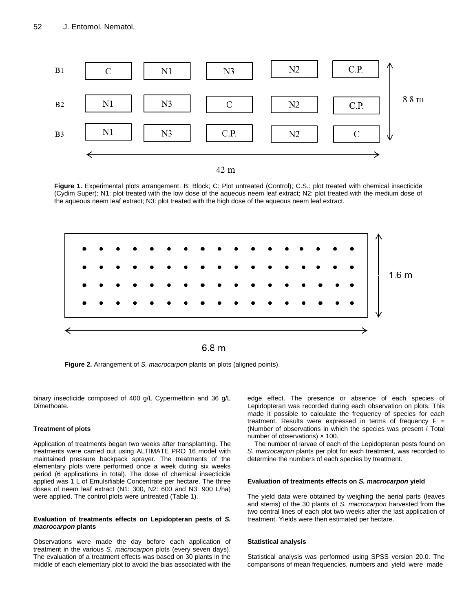

**Figure 1.** Experimental plots arrangement. B: Block; C: Plot untreated (Control); C.S.: plot treated with chemical insecticide (Cydim Super); N1: plot treated with the low dose of the aqueous neem leaf extract; N2: plot treated with the medium dose of the aqueous neem leaf extract; N3: plot treated with the high dose of the aqueous neem leaf extract.



**Figure 2.** Arrangement of *S. macrocarpon* plants on plots (aligned points).

binary insecticide composed of 400 g/L Cypermethrin and 36 g/L Dimethoate.

### **Treatment of plots**

Application of treatments began two weeks after transplanting. The treatments were carried out using ALTIMATE PRO 16 model with maintained pressure backpack sprayer. The treatments of the elementary plots were performed once a week during six weeks period (6 applications in total). The dose of chemical insecticide applied was 1 L of Emulsifiable Concentrate per hectare. The three doses of neem leaf extract (N1: 300, N2: 600 and N3: 900 L/ha) were applied. The control plots were untreated (Table 1).

#### **Evaluation of treatments effects on Lepidopteran pests of** *S. macrocarpon* **plants**

Observations were made the day before each application of treatment in the various *S. macrocarpon* plots (every seven days). The evaluation of a treatment effects was based on 30 plants in the middle of each elementary plot to avoid the bias associated with the

edge effect. The presence or absence of each species of Lepidopteran was recorded during each observation on plots. This made it possible to calculate the frequency of species for each treatment. Results were expressed in terms of frequency  $F =$ (Number of observations in which the species was present / Total number of observations)  $\times$  100.

The number of larvae of each of the Lepidopteran pests found on *S. macrocarpon* plants per plot for each treatment, was recorded to determine the numbers of each species by treatment.

#### **Evaluation of treatments effects on** *S. macrocarpon* **yield**

The yield data were obtained by weighing the aerial parts (leaves and stems) of the 30 plants of *S. macrocarpon* harvested from the two central lines of each plot two weeks after the last application of treatment. Yields were then estimated per hectare.

#### **Statistical analysis**

Statistical analysis was performed using SPSS version 20.0. The comparisons of mean frequencies, numbers and yield were made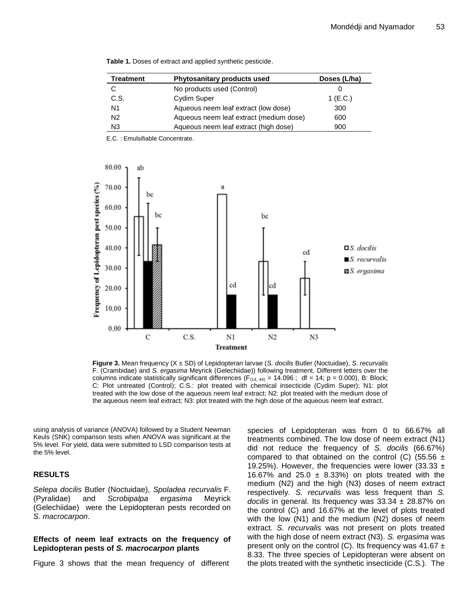| Treatment | Phytosanitary products used             | Doses (L/ha) |
|-----------|-----------------------------------------|--------------|
| С         | No products used (Control)              |              |
| C.S.      | Cydim Super                             | 1 (E.C.)     |
| N1        | Aqueous neem leaf extract (low dose)    | 300          |
| N2        | Aqueous neem leaf extract (medium dose) | 600          |
| N3        | Aqueous neem leaf extract (high dose)   | 900          |

**Table 1.** Doses of extract and applied synthetic pesticide.

E.C. : Emulsifiable Concentrate.



**Figure 3.** Mean frequency (X ± SD) of Lepidopteran larvae (*S. docilis* Butler (Noctuidae), *S. recurvalis* F. (Crambidae) and *S. ergasima* Meyrick (Gelechiidae)) following treatment. Different letters over the columns indicate statistically significant differences ( $F_{(14, 44)} = 14.096$ ; df = 14; p = 0.000), B: Block; C: Plot untreated (Control); C.S.: plot treated with chemical insecticide (Cydim Super); N1: plot treated with the low dose of the aqueous neem leaf extract; N2: plot treated with the medium dose of the aqueous neem leaf extract; N3: plot treated with the high dose of the aqueous neem leaf extract.

using analysis of variance (ANOVA) followed by a Student Newman Keuls (SNK) comparison tests when ANOVA was significant at the 5% level. For yield, data were submitted to LSD comparison tests at the 5% level.

# **RESULTS**

*Selepa docilis* Butler (Noctuidae), *Spoladea recurvalis* F. (Pyralidae) and *Scrobipalpa ergasima* Meyrick (Gelechiidae) were the Lepidopteran pests recorded on *S. macrocarpon*.

# **Effects of neem leaf extracts on the frequency of Lepidopteran pests of** *S. macrocarpon* **plants**

Figure 3 shows that the mean frequency of different

species of Lepidopteran was from 0 to 66.67% all treatments combined. The low dose of neem extract (N1) did not reduce the frequency of *S. docilis* (66.67%) compared to that obtained on the control (C) (55.56  $\pm$ 19.25%). However, the frequencies were lower (33.33  $\pm$ 16.67% and 25.0  $\pm$  8.33%) on plots treated with the medium (N2) and the high (N3) doses of neem extract respectively. *S. recurvalis* was less frequent than *S. docilis* in general. Its frequency was 33.34 ± 28.87% on the control (C) and 16.67% at the level of plots treated with the low (N1) and the medium (N2) doses of neem extract. *S. recurvalis* was not present on plots treated with the high dose of neem extract (N3). *S. ergasima* was present only on the control (C). Its frequency was 41.67  $\pm$ 8.33. The three species of Lepidopteran were absent on the plots treated with the synthetic insecticide (C.S.). The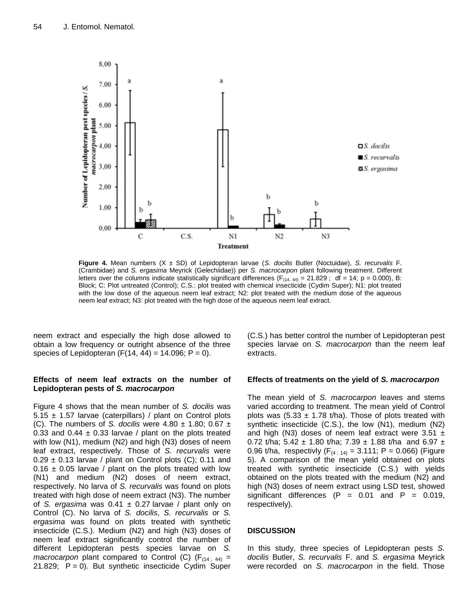

**Figure 4.** Mean numbers (X ± SD) of Lepidopteran larvae (*S. docilis* Butler (Noctuidae), *S. recurvalis* F. (Crambidae) and *S. ergasima* Meyrick (Gelechiidae)) per *S. macrocarpon* plant following treatment. Different letters over the columns indicate statistically significant differences  $(F_{(14, 44)} = 21.829$ ; df = 14; p = 0.000), B: Block; C: Plot untreated (Control); C.S.: plot treated with chemical insecticide (Cydim Super); N1: plot treated with the low dose of the aqueous neem leaf extract; N2: plot treated with the medium dose of the aqueous neem leaf extract; N3: plot treated with the high dose of the aqueous neem leaf extract.

neem extract and especially the high dose allowed to obtain a low frequency or outright absence of the three species of Lepidopteran  $(F(14, 44) = 14.096; P = 0)$ .

# **Effects of neem leaf extracts on the number of Lepidopteran pests of** *S. macrocarpon*

Figure 4 shows that the mean number of *S. docilis* was  $5.15 \pm 1.57$  larvae (caterpillars) / plant on Control plots (C). The numbers of *S. docilis* were 4.80 ± 1.80; 0.67 ± 0.33 and 0.44  $\pm$  0.33 larvae / plant on the plots treated with low (N1), medium (N2) and high (N3) doses of neem leaf extract, respectively. Those of *S. recurvalis* were  $0.29 \pm 0.13$  larvae / plant on Control plots (C); 0.11 and  $0.16 \pm 0.05$  larvae / plant on the plots treated with low (N1) and medium (N2) doses of neem extract, respectively. No larva of *S. recurvalis* was found on plots treated with high dose of neem extract (N3). The number of *S. ergasima* was 0.41 ± 0.27 larvae / plant only on Control (C). No larva of *S. docilis*, *S. recurvalis* or *S. ergasima* was found on plots treated with synthetic insecticide (C.S.). Medium (N2) and high (N3) doses of neem leaf extract significantly control the number of different Lepidopteran pests species larvae on *S. macrocarpon* plant compared to Control (C) ( $F_{(14; 44)}$  = 21.829;  $P = 0$ ). But synthetic insecticide Cydim Super

(C.S.) has better control the number of Lepidopteran pest species larvae on *S. macrocarpon* than the neem leaf extracts.

# **Effects of treatments on the yield of** *S. macrocarpon*

The mean yield of *S. macrocarpon* leaves and stems varied according to treatment. The mean yield of Control plots was  $(5.33 \pm 1.78 \text{ t/ha})$ . Those of plots treated with synthetic insecticide (C.S.), the low (N1), medium (N2) and high (N3) doses of neem leaf extract were  $3.51 \pm$ 0.72 t/ha; 5.42  $\pm$  1.80 t/ha; 7.39  $\pm$  1.88 t/ha and 6.97  $\pm$ 0.96 t/ha, respectivly  $(F_{(4; 14)} = 3.111; P = 0.066)$  (Figure 5). A comparison of the mean yield obtained on plots treated with synthetic insecticide (C.S.) with yields obtained on the plots treated with the medium (N2) and high (N3) doses of neem extract using LSD test, showed significant differences  $(P = 0.01$  and  $P = 0.019$ , respectively).

# **DISCUSSION**

In this study, three species of Lepidopteran pests *S. docilis* Butler, *S. recurvalis* F. and *S. ergasima* Meyrick were recorded on *S. macrocarpon* in the field. Those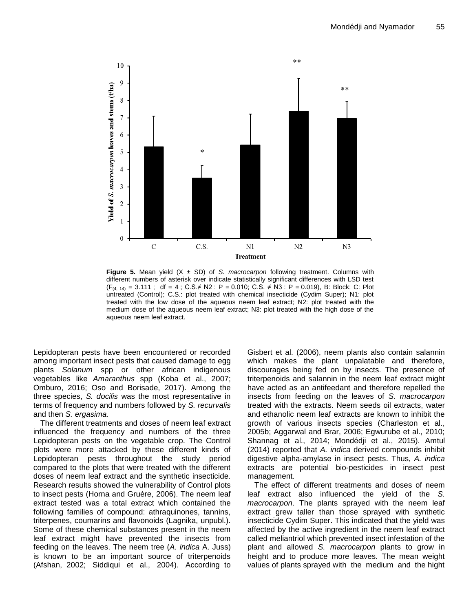

**Figure 5.** Mean yield  $(X \pm SD)$  of *S. macrocarpon* following treatment. Columns with different numbers of asterisk over indicate statistically significant differences with LSD test  $(F_{(4, 14)} = 3.111$ ; df = 4; C.S.≠ N2 : P = 0.010; C.S. ≠ N3 : P = 0.019), B: Block; C: Plot untreated (Control); C.S.: plot treated with chemical insecticide (Cydim Super); N1: plot treated with the low dose of the aqueous neem leaf extract; N2: plot treated with the medium dose of the aqueous neem leaf extract; N3: plot treated with the high dose of the aqueous neem leaf extract.

Lepidopteran pests have been encountered or recorded among important insect pests that caused damage to egg plants *Solanum* spp or other african indigenous vegetables like *Amaranthus* spp (Koba et al., 2007; Omburo, 2016; Oso and Borisade, 2017). Among the three species, *S. docilis* was the most representative in terms of frequency and numbers followed by *S. recurvalis* and then *S. ergasima*.

The different treatments and doses of neem leaf extract influenced the frequency and numbers of the three Lepidopteran pests on the vegetable crop. The Control plots were more attacked by these different kinds of Lepidopteran pests throughout the study period compared to the plots that were treated with the different doses of neem leaf extract and the synthetic insecticide. Research results showed the vulnerability of Control plots to insect pests (Horna and Gruère, 2006). The neem leaf extract tested was a total extract which contained the following families of compound: athraquinones, tannins, triterpenes, coumarins and flavonoids (Lagnika, unpubl.). Some of these chemical substances present in the neem leaf extract might have prevented the insects from feeding on the leaves. The neem tree (*A. indica* A. Juss) is known to be an important source of triterpenoids (Afshan, 2002; Siddiqui et al., 2004). According to

Gisbert et al. (2006), neem plants also contain salannin which makes the plant unpalatable and therefore, discourages being fed on by insects. The presence of triterpenoids and salannin in the neem leaf extract might have acted as an antifeedant and therefore repelled the insects from feeding on the leaves of *S. macrocarpon* treated with the extracts. Neem seeds oil extracts, water and ethanolic neem leaf extracts are known to inhibit the growth of various insects species (Charleston et al., 2005b; Aggarwal and Brar, 2006; Egwurube et al., 2010; Shannag et al., 2014; Mondédji et al., 2015). Amtul (2014) reported that *A. indica* derived compounds inhibit digestive alpha-amylase in insect pests. Thus, *A. indica* extracts are potential bio-pesticides in insect pest management.

The effect of different treatments and doses of neem leaf extract also influenced the yield of the *S. macrocarpon*. The plants sprayed with the neem leaf extract grew taller than those sprayed with synthetic insecticide Cydim Super. This indicated that the yield was affected by the active ingredient in the neem leaf extract called meliantriol which prevented insect infestation of the plant and allowed *S. macrocarpon* plants to grow in height and to produce more leaves. The mean weight values of plants sprayed with the medium and the hight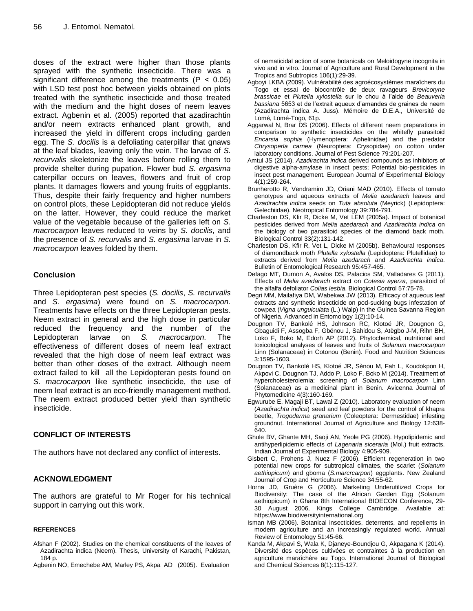doses of the extract were higher than those plants sprayed with the synthetic insecticide. There was a significant difference among the treatments ( $P < 0.05$ ) with LSD test post hoc between yields obtained on plots treated with the synthetic insecticide and those treated with the medium and the hight doses of neem leaves extract. Agbenin et al. (2005) reported that azadirachtin and/or neem extracts enhanced plant growth, and increased the yield in different crops including garden egg. The *S. docilis* is a defoliating caterpillar that gnaws at the leaf blades, leaving only the vein. The larvae of *S. recurvalis* skeletonize the leaves before rolling them to provide shelter during pupation. Flower bud *S. ergasima* caterpillar occurs on leaves, flowers and fruit of crop plants. It damages flowers and young fruits of eggplants. Thus, despite their fairly frequency and higher numbers on control plots, these Lepidopteran did not reduce yields on the latter. However, they could reduce the market value of the vegetable because of the galleries left on *S. macrocarpon* leaves reduced to veins by *S. docilis*, and the presence of *S. recurvalis* and *S. ergasima* larvae in *S. macrocarpon* leaves folded by them.

# **Conclusion**

Three Lepidopteran pest species (*S. docilis*, *S. recurvalis* and *S. ergasima*) were found on *S. macrocarpon*. Treatments have effects on the three Lepidopteran pests. Neem extract in general and the high dose in particular reduced the frequency and the number of the Lepidopteran larvae on *S. macrocarpon.* The effectiveness of different doses of neem leaf extract revealed that the high dose of neem leaf extract was better than other doses of the extract. Although neem extract failed to kill all the Lepidopteran pests found on *S. macrocarpon* like synthetic insecticide, the use of neem leaf extract is an eco-friendly management method. The neem extract produced better yield than synthetic insecticide.

# **CONFLICT OF INTERESTS**

The authors have not declared any conflict of interests.

# **ACKNOWLEDGMENT**

The authors are grateful to Mr Roger for his technical support in carrying out this work.

# **REFERENCES**

- Afshan F (2002). Studies on the chemical constituents of the leaves of Azadirachta indica (Neem). Thesis, University of Karachi, Pakistan, 184 p.
- Agbenin NO, Emechebe AM, Marley PS, Akpa AD (2005). Evaluation

of nematicidal action of some botanicals on Meloidogyne incognita in vivo and in vitro. Journal of Agriculture and Rural Development in the Tropics and Subtropics 106(1):29-39.

- Agboyi LKBA (2009). Vulnérabilité des agroécosystèmes maraîchers du Togo et essai de biocontrôle de deux ravageurs *Brevicoryne brassicae* et *Plutella xylostella* sur le chou à l'aide de *Beauveria bassiana* 5653 et de l'extrait aqueux d'amandes de graines de neem (Azadirachta indica A. Juss). Mémoire de D.E.A., Université de Lomé, Lomé-Togo, 61p.
- Aggarwal N, Brar DS (2006). Effects of different neem preparations in comparison to synthetic insecticides on the whitefly parasitoid *Encarsia sophia* (Hymenoptera: Aphelinidae) and the predator *Chrysoperla carnea* (Neuroptera: Crysopidae) on cotton under laboratory conditions. Journal of Pest Science 79:201-207.
- Amtul JS (2014). *Azadirachta indica* derived compounds as inhibitors of digestive alpha-amylase in insect pests; Potential bio-pesticides in insect pest management. European Journal of Experimental Biology 4(1):259-264.
- Brunherotto R, Vendramim JD, Oriani MAD (2010). Effects of tomato genotypes and aqueous extracts of *Melia azedarach* leaves and *Azadirachta indica* seeds on *Tuta absoluta* (Meyrick) (Lepidoptera: Gelechiidae). Neotropical Entomology 39:784-791.
- Charleston DS, Kfir R, Dicke M, Vet LEM (2005a). Impact of botanical pesticides derived from *Melia azedarach* and *Azadirachta indica* on the biology of two parasitoid species of the diamond back moth. Biological Control 33(2):131-142.
- Charleston DS, Kfir R, Vet L, Dicke M (2005b). Behavioural responses of diamondback moth *Plutella xylostella* (Lepidoptera: Plutellidae) to extracts derived from *Melia azedarach* and *Azadirachta indica*. Bulletin of Entomological Research 95:457-465.
- Defago MT, Dumon A, Avalos DS, Palacios SM, Valladares G (2011). Effects of *Melia azedarach* extract on *Cotesia ayerza*, parasitoid of the alfalfa defoliator *Colias lesbia*. Biological Control 57:75-78.
- Degri MM, Mailafiya DM, Wabekwa JW (2013). Efficacy of aqueous leaf extracts and synthetic insecticide on pod-sucking bugs infestation of cowpea (*Vigna unguiculata* (L.) Walp) in the Guinea Savanna Region of Nigeria. Advanced in Entomology 1(2):10-14.
- Dougnon TV, Bankolé HS, Johnson RC, Klotoé JR, Dougnon G, Gbaguidi F, Assogba F, Gbénou J, Sahidou S, Atègbo J-M, Rihn BH, Loko F, Boko M, Edorh AP (2012). Phytochemical, nutritional and toxicological analyses of leaves and fruits of *Solanum macrocarpon* Linn (Solanaceae) in Cotonou (Benin). Food and Nutrition Sciences 3:1595-1603.
- Dougnon TV, Bankolé HS, Klotoé JR, Sènou M, Fah L, Koudokpon H, Akpovi C, Dougnon TJ, Addo P, Loko F, Boko M (2014). Treatment of hypercholesterolemia: screening of *Solanum macrocarpon* Linn (Solanaceae) as a medicinal plant in Benin. Avicenna Journal of Phytomedicine 4(3):160-169.
- Egwurube E, Magaji BT, Lawal Z (2010). Laboratory evaluation of neem (*Azadirachta indica*) seed and leaf powders for the control of khapra beetle, *Trogoderma granarium* (Coleoptera: Dermestidae) infesting groundnut. International Journal of Agriculture and Biology 12:638- 640.
- Ghule BV, Ghante MH, Saoji AN, Yeole PG (2006). Hypolipidemic and antihyperlipidemic effects of *Lagenaria siceraria* (Mol.) fruit extracts. Indian Journal of Experimental Biology 4:905-909.
- Gisbert C, Prohens J, Nuez F (2006). Efficient regeneration in two potential new crops for subtropical climates, the scarlet (*Solanum aethiopicum*) and gboma (*S.marcrcarpon*) eggplants. New Zealand Journal of Crop and Horticulture Science 34:55-62.
- Horna JD, Gruère G (2006). Marketing Underutilized Crops for Biodiversity: The case of the African Garden Egg (Solanum aethiopicum) in Ghana 8th International BIOECON Conference, 29- 30 August 2006, Kings College Cambridge. Available at: https://www.biodiversityinternational.org
- Isman MB (2006). Botanical insecticides, deterrents, and repellents in modern agriculture and an increasingly regulated world. Annual Review of Entomology 51:45-66.
- Kanda M, Akpavi S, Wala K, Djaneye-Boundjou G, Akpagana K (2014). Diversité des espèces cultivées et contraintes à la production en agriculture maraîchère au Togo. International Journal of Biological and Chemical Sciences 8(1):115-127.